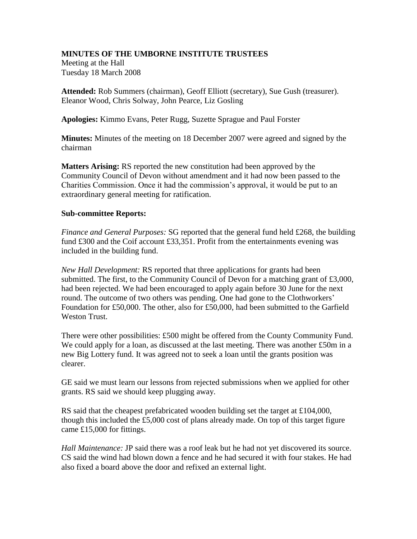## **MINUTES OF THE UMBORNE INSTITUTE TRUSTEES**

Meeting at the Hall Tuesday 18 March 2008

**Attended:** Rob Summers (chairman), Geoff Elliott (secretary), Sue Gush (treasurer). Eleanor Wood, Chris Solway, John Pearce, Liz Gosling

**Apologies:** Kimmo Evans, Peter Rugg, Suzette Sprague and Paul Forster

**Minutes:** Minutes of the meeting on 18 December 2007 were agreed and signed by the chairman

**Matters Arising:** RS reported the new constitution had been approved by the Community Council of Devon without amendment and it had now been passed to the Charities Commission. Once it had the commission's approval, it would be put to an extraordinary general meeting for ratification.

## **Sub-committee Reports:**

*Finance and General Purposes:* SG reported that the general fund held £268, the building fund £300 and the Coif account £33,351. Profit from the entertainments evening was included in the building fund.

*New Hall Development:* RS reported that three applications for grants had been submitted. The first, to the Community Council of Devon for a matching grant of £3,000, had been rejected. We had been encouraged to apply again before 30 June for the next round. The outcome of two others was pending. One had gone to the Clothworkers' Foundation for £50,000. The other, also for £50,000, had been submitted to the Garfield Weston Trust.

There were other possibilities: £500 might be offered from the County Community Fund. We could apply for a loan, as discussed at the last meeting. There was another  $£50m$  in a new Big Lottery fund. It was agreed not to seek a loan until the grants position was clearer.

GE said we must learn our lessons from rejected submissions when we applied for other grants. RS said we should keep plugging away.

RS said that the cheapest prefabricated wooden building set the target at £104,000, though this included the £5,000 cost of plans already made. On top of this target figure came £15,000 for fittings.

*Hall Maintenance:* JP said there was a roof leak but he had not yet discovered its source. CS said the wind had blown down a fence and he had secured it with four stakes. He had also fixed a board above the door and refixed an external light.